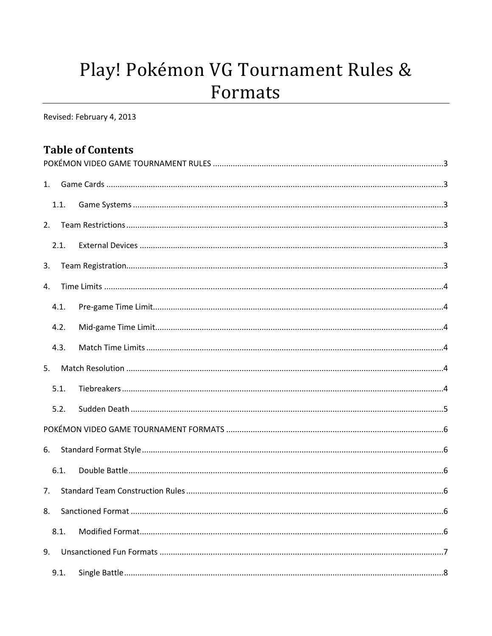# Play! Pokémon VG Tournament Rules & Formats

Revised: February 4, 2013

# **Table of Contents**

| 1. |      |  |  |  |
|----|------|--|--|--|
|    | 1.1. |  |  |  |
| 2. |      |  |  |  |
|    | 2.1. |  |  |  |
| 3. |      |  |  |  |
| 4. |      |  |  |  |
|    | 4.1. |  |  |  |
|    | 4.2. |  |  |  |
|    | 4.3. |  |  |  |
| 5. |      |  |  |  |
|    | 5.1. |  |  |  |
|    | 5.2. |  |  |  |
|    |      |  |  |  |
| 6. |      |  |  |  |
|    | 6.1. |  |  |  |
| 7. |      |  |  |  |
| 8. |      |  |  |  |
|    | 8.1. |  |  |  |
| 9. |      |  |  |  |
|    | 9.1. |  |  |  |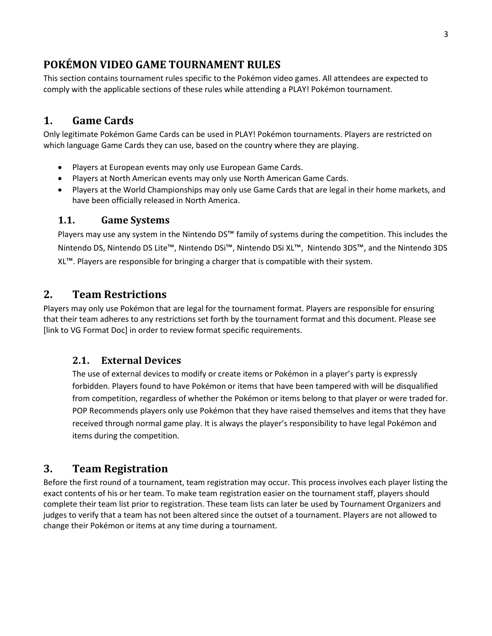## <span id="page-2-0"></span>**POKÉMON VIDEO GAME TOURNAMENT RULES**

<span id="page-2-1"></span>This section contains tournament rules specific to the Pokémon video games. All attendees are expected to comply with the applicable sections of these rules while attending a PLAY! Pokémon tournament.

## **1. Game Cards**

Only legitimate Pokémon Game Cards can be used in PLAY! Pokémon tournaments. Players are restricted on which language Game Cards they can use, based on the country where they are playing.

- Players at European events may only use European Game Cards.
- Players at North American events may only use North American Game Cards.
- Players at the World Championships may only use Game Cards that are legal in their home markets, and have been officially released in North America.

#### <span id="page-2-2"></span>**1.1. Game Systems**

Players may use any system in the Nintendo DS™ family of systems during the competition. This includes the Nintendo DS, Nintendo DS Lite™, Nintendo DSi™, Nintendo DSi XL™, Nintendo 3DS™, and the Nintendo 3DS XL™. Players are responsible for bringing a charger that is compatible with their system.

#### <span id="page-2-3"></span>**2. Team Restrictions**

Players may only use Pokémon that are legal for the tournament format. Players are responsible for ensuring that their team adheres to any restrictions set forth by the tournament format and this document. Please see [link to VG Format Doc] in order to review format specific requirements.

#### <span id="page-2-4"></span>**2.1. External Devices**

The use of external devices to modify or create items or Pokémon in a player's party is expressly forbidden. Players found to have Pokémon or items that have been tampered with will be disqualified from competition, regardless of whether the Pokémon or items belong to that player or were traded for. POP Recommends players only use Pokémon that they have raised themselves and items that they have received through normal game play. It is always the player's responsibility to have legal Pokémon and items during the competition.

## <span id="page-2-5"></span>**3. Team Registration**

Before the first round of a tournament, team registration may occur. This process involves each player listing the exact contents of his or her team. To make team registration easier on the tournament staff, players should complete their team list prior to registration. These team lists can later be used by Tournament Organizers and judges to verify that a team has not been altered since the outset of a tournament. Players are not allowed to change their Pokémon or items at any time during a tournament.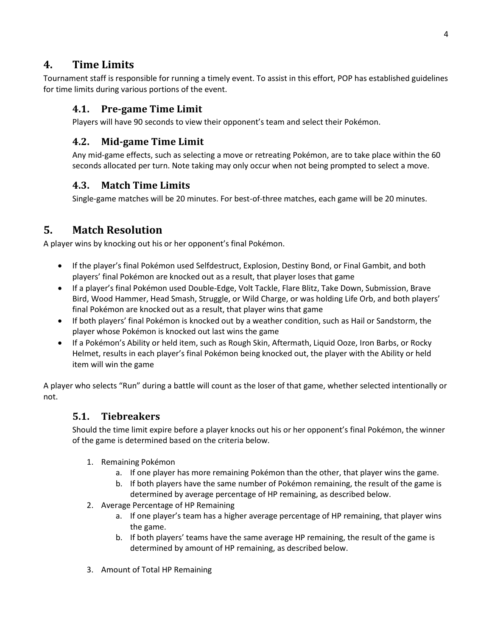## <span id="page-3-0"></span>**4. Time Limits**

<span id="page-3-1"></span>Tournament staff is responsible for running a timely event. To assist in this effort, POP has established guidelines for time limits during various portions of the event.

#### **4.1. Pre-game Time Limit**

Players will have 90 seconds to view their opponent's team and select their Pokémon.

#### <span id="page-3-2"></span>**4.2. Mid-game Time Limit**

Any mid-game effects, such as selecting a move or retreating Pokémon, are to take place within the 60 seconds allocated per turn. Note taking may only occur when not being prompted to select a move.

#### <span id="page-3-3"></span>**4.3. Match Time Limits**

Single-game matches will be 20 minutes. For best-of-three matches, each game will be 20 minutes.

# <span id="page-3-4"></span>**5. Match Resolution**

A player wins by knocking out his or her opponent's final Pokémon.

- If the player's final Pokémon used Selfdestruct, Explosion, Destiny Bond, or Final Gambit, and both players' final Pokémon are knocked out as a result, that player loses that game
- If a player's final Pokémon used Double‐Edge, Volt Tackle, Flare Blitz, Take Down, Submission, Brave Bird, Wood Hammer, Head Smash, Struggle, or Wild Charge, or was holding Life Orb, and both players' final Pokémon are knocked out as a result, that player wins that game
- If both players' final Pokémon is knocked out by a weather condition, such as Hail or Sandstorm, the player whose Pokémon is knocked out last wins the game
- If a Pokémon's Ability or held item, such as Rough Skin, Aftermath, Liquid Ooze, Iron Barbs, or Rocky Helmet, results in each player's final Pokémon being knocked out, the player with the Ability or held item will win the game

<span id="page-3-5"></span>A player who selects "Run" during a battle will count as the loser of that game, whether selected intentionally or not.

#### **5.1. Tiebreakers**

Should the time limit expire before a player knocks out his or her opponent's final Pokémon, the winner of the game is determined based on the criteria below.

- 1. Remaining Pokémon
	- a. If one player has more remaining Pokémon than the other, that player wins the game.
	- b. If both players have the same number of Pokémon remaining, the result of the game is determined by average percentage of HP remaining, as described below.
- 2. Average Percentage of HP Remaining
	- a. If one player's team has a higher average percentage of HP remaining, that player wins the game.
	- b. If both players' teams have the same average HP remaining, the result of the game is determined by amount of HP remaining, as described below.
- 3. Amount of Total HP Remaining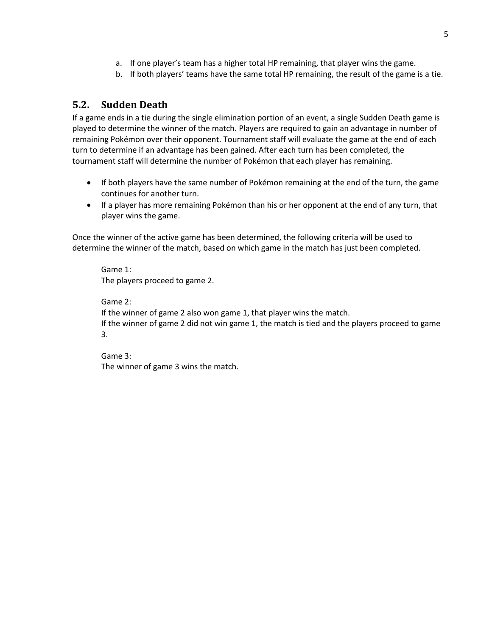- a. If one player's team has a higher total HP remaining, that player wins the game.
- b. If both players' teams have the same total HP remaining, the result of the game is a tie.

#### <span id="page-4-0"></span>**5.2. Sudden Death**

If a game ends in a tie during the single elimination portion of an event, a single Sudden Death game is played to determine the winner of the match. Players are required to gain an advantage in number of remaining Pokémon over their opponent. Tournament staff will evaluate the game at the end of each turn to determine if an advantage has been gained. After each turn has been completed, the tournament staff will determine the number of Pokémon that each player has remaining.

- If both players have the same number of Pokémon remaining at the end of the turn, the game continues for another turn.
- If a player has more remaining Pokémon than his or her opponent at the end of any turn, that player wins the game.

Once the winner of the active game has been determined, the following criteria will be used to determine the winner of the match, based on which game in the match has just been completed.

Game 1: The players proceed to game 2.

Game 2: If the winner of game 2 also won game 1, that player wins the match. If the winner of game 2 did not win game 1, the match is tied and the players proceed to game 3.

Game 3: The winner of game 3 wins the match.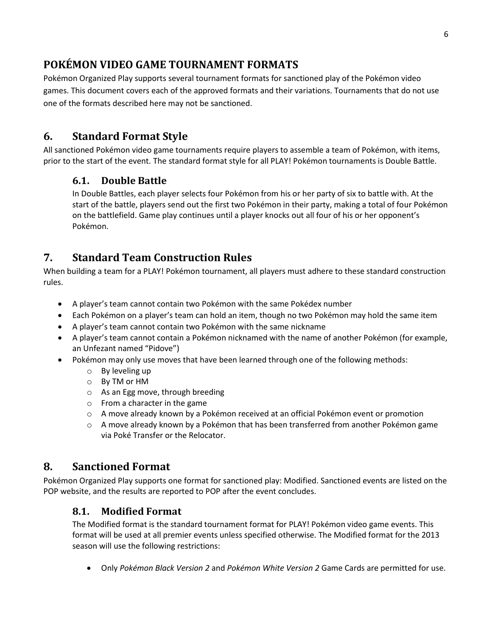# <span id="page-5-0"></span>**POKÉMON VIDEO GAME TOURNAMENT FORMATS**

Pokémon Organized Play supports several tournament formats for sanctioned play of the Pokémon video games. This document covers each of the approved formats and their variations. Tournaments that do not use one of the formats described here may not be sanctioned.

# <span id="page-5-1"></span>**6. Standard Format Style**

<span id="page-5-2"></span>All sanctioned Pokémon video game tournaments require players to assemble a team of Pokémon, with items, prior to the start of the event. The standard format style for all PLAY! Pokémon tournaments is Double Battle.

#### **6.1. Double Battle**

In Double Battles, each player selects four Pokémon from his or her party of six to battle with. At the start of the battle, players send out the first two Pokémon in their party, making a total of four Pokémon on the battlefield. Game play continues until a player knocks out all four of his or her opponent's Pokémon.

# <span id="page-5-3"></span>**7. Standard Team Construction Rules**

When building a team for a PLAY! Pokémon tournament, all players must adhere to these standard construction rules.

- A player's team cannot contain two Pokémon with the same Pokédex number
- Each Pokémon on a player's team can hold an item, though no two Pokémon may hold the same item
- A player's team cannot contain two Pokémon with the same nickname
- A player's team cannot contain a Pokémon nicknamed with the name of another Pokémon (for example, an Unfezant named "Pidove")
- Pokémon may only use moves that have been learned through one of the following methods:
	- o By leveling up
	- o By TM or HM
	- o As an Egg move, through breeding
	- o From a character in the game
	- o A move already known by a Pokémon received at an official Pokémon event or promotion
	- $\circ$  A move already known by a Pokémon that has been transferred from another Pokémon game via Poké Transfer or the Relocator.

# <span id="page-5-4"></span>**8. Sanctioned Format**

<span id="page-5-5"></span>Pokémon Organized Play supports one format for sanctioned play: Modified. Sanctioned events are listed on the POP website, and the results are reported to POP after the event concludes.

## **8.1. Modified Format**

The Modified format is the standard tournament format for PLAY! Pokémon video game events. This format will be used at all premier events unless specified otherwise. The Modified format for the 2013 season will use the following restrictions:

Only *Pokémon Black Version 2* and *Pokémon White Version 2* Game Cards are permitted for use.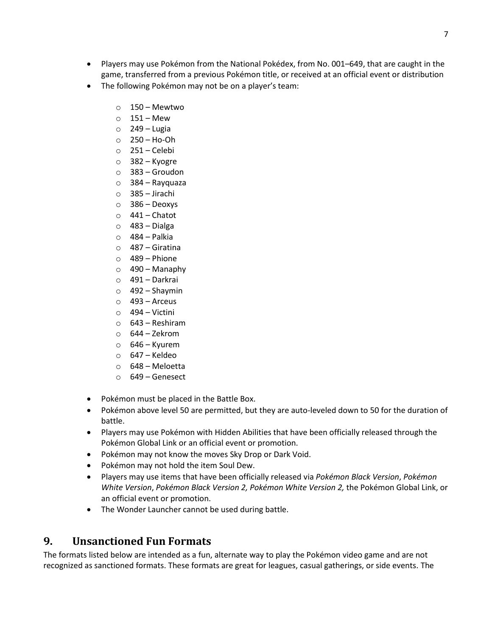- Players may use Pokémon from the National Pokédex, from No. 001–649, that are caught in the game, transferred from a previous Pokémon title, or received at an official event or distribution
- The following Pokémon may not be on a player's team:
	- $\circ$  150 Mewtwo
	- $0$  151 Mew
	- $\circ$  249 Lugia
	- $\circ$  250 Ho-Oh
	- o 251 Celebi
	- o 382 Kyogre
	- o 383 Groudon
	- o 384 Rayquaza
	- o 385 Jirachi
	- o 386 Deoxys
	- $\circ$  441 Chatot
	- $\circ$  483 Dialga
	- $\circ$  484 Palkia
	- o 487 Giratina
	- $\circ$  489 Phione
	- $\circ$  490 Manaphy
	- o 491 Darkrai
	- $\circ$  492 Shaymin
	- $\circ$  493 Arceus
	- $\circ$  494 Victini
	- o 643 Reshiram
	- $\circ$  644 Zekrom
	- $\circ$  646 Kyurem
	- $\circ$  647 Keldeo
	- o 648 Meloetta
	- o 649 Genesect
- Pokémon must be placed in the Battle Box.
- Pokémon above level 50 are permitted, but they are auto-leveled down to 50 for the duration of battle.
- Players may use Pokémon with Hidden Abilities that have been officially released through the Pokémon Global Link or an official event or promotion.
- Pokémon may not know the moves Sky Drop or Dark Void.
- Pokémon may not hold the item Soul Dew.
- Players may use items that have been officially released via *Pokémon Black Version*, *Pokémon White Version*, *Pokémon Black Version 2, Pokémon White Version 2,* the Pokémon Global Link, or an official event or promotion.
- The Wonder Launcher cannot be used during battle.

## <span id="page-6-0"></span>**9. Unsanctioned Fun Formats**

The formats listed below are intended as a fun, alternate way to play the Pokémon video game and are not recognized as sanctioned formats. These formats are great for leagues, casual gatherings, or side events. The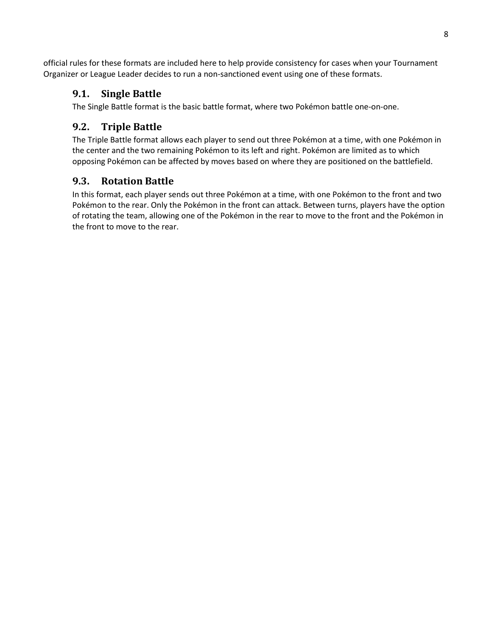<span id="page-7-0"></span>official rules for these formats are included here to help provide consistency for cases when your Tournament Organizer or League Leader decides to run a non-sanctioned event using one of these formats.

#### **9.1. Single Battle**

The Single Battle format is the basic battle format, where two Pokémon battle one-on-one.

## <span id="page-7-1"></span>**9.2. Triple Battle**

The Triple Battle format allows each player to send out three Pokémon at a time, with one Pokémon in the center and the two remaining Pokémon to its left and right. Pokémon are limited as to which opposing Pokémon can be affected by moves based on where they are positioned on the battlefield.

#### <span id="page-7-2"></span>**9.3. Rotation Battle**

In this format, each player sends out three Pokémon at a time, with one Pokémon to the front and two Pokémon to the rear. Only the Pokémon in the front can attack. Between turns, players have the option of rotating the team, allowing one of the Pokémon in the rear to move to the front and the Pokémon in the front to move to the rear.